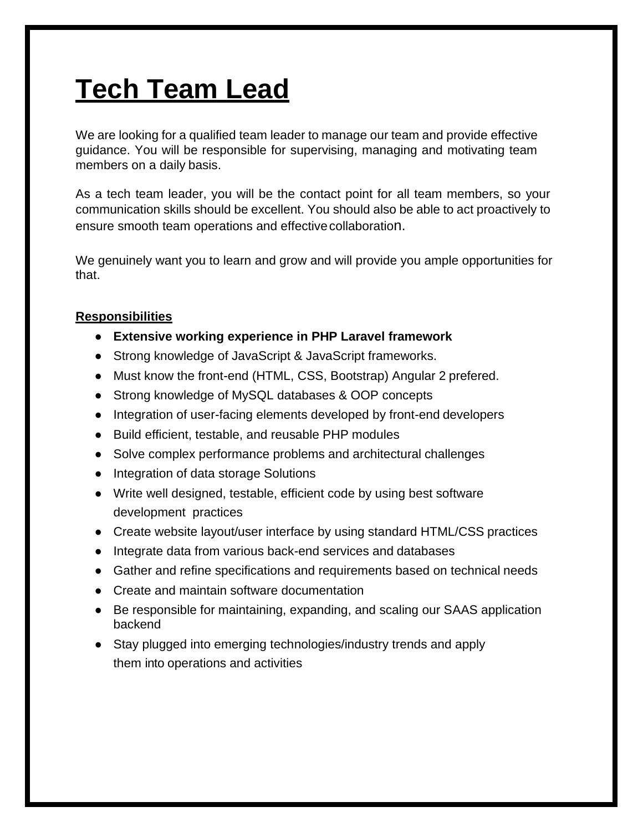## **Tech Team Lead**

We are looking for a qualified team leader to manage our team and provide effective guidance. You will be responsible for supervising, managing and motivating team members on a daily basis.

As a tech team leader, you will be the contact point for all team members, so your communication skills should be excellent. You should also be able to act proactively to ensure smooth team operations and effective collaboration.

We genuinely want you to learn and grow and will provide you ample opportunities for that.

## **Responsibilities**

- **Extensive working experience in PHP Laravel framework**
- Strong knowledge of JavaScript & JavaScript frameworks.
- Must know the front-end (HTML, CSS, Bootstrap) Angular 2 prefered.
- Strong knowledge of MySQL databases & OOP concepts
- Integration of user-facing elements developed by front-end developers
- Build efficient, testable, and reusable PHP modules
- Solve complex performance problems and architectural challenges
- Integration of data storage Solutions
- Write well designed, testable, efficient code by using best software development practices
- Create website layout/user interface by using standard HTML/CSS practices
- Integrate data from various back-end services and databases
- Gather and refine specifications and requirements based on technical needs
- Create and maintain software documentation
- Be responsible for maintaining, expanding, and scaling our SAAS application backend
- Stay plugged into emerging technologies/industry trends and apply them into operations and activities